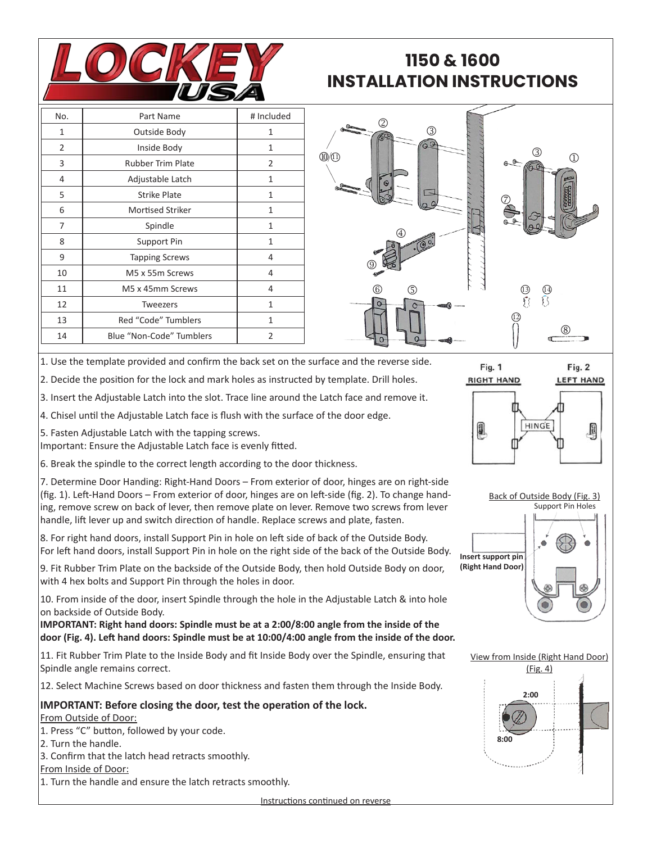

## **1150 & 1600 INSTALLATION INSTRUCTIONS**

| No. | Part Name                | # Included     |
|-----|--------------------------|----------------|
| 1   | Outside Body             | $\mathbf{1}$   |
| 2   | Inside Body              | $\mathbf{1}$   |
| 3   | <b>Rubber Trim Plate</b> | 2              |
| 4   | Adjustable Latch         | $\mathbf{1}$   |
| 5   | <b>Strike Plate</b>      | 1              |
| 6   | <b>Mortised Striker</b>  | 1              |
| 7   | Spindle                  | 1              |
| 8   | Support Pin              | $\mathbf{1}$   |
| 9   | <b>Tapping Screws</b>    | 4              |
| 10  | M5 x 55m Screws          | 4              |
| 11  | M5 x 45mm Screws         | 4              |
| 12  | <b>Tweezers</b>          | 1              |
| 13  | Red "Code" Tumblers      | $\mathbf{1}$   |
| 14  | Blue "Non-Code" Tumblers | $\overline{2}$ |



Fig. 1

1. Use the template provided and confirm the back set on the surface and the reverse side.

2. Decide the position for the lock and mark holes as instructed by template. Drill holes.

3. Insert the Adjustable Latch into the slot. Trace line around the Latch face and remove it.

4. Chisel until the Adjustable Latch face is flush with the surface of the door edge.

5. Fasten Adjustable Latch with the tapping screws.

Important: Ensure the Adjustable Latch face is evenly fitted.

6. Break the spindle to the correct length according to the door thickness.

7. Determine Door Handing: Right-Hand Doors – From exterior of door, hinges are on right-side (fig. 1). Left-Hand Doors – From exterior of door, hinges are on left-side (fig. 2). To change handing, remove screw on back of lever, then remove plate on lever. Remove two screws from lever handle, lift lever up and switch direction of handle. Replace screws and plate, fasten.

8. For right hand doors, install Support Pin in hole on left side of back of the Outside Body. For left hand doors, install Support Pin in hole on the right side of the back of the Outside Body.

9. Fit Rubber Trim Plate on the backside of the Outside Body, then hold Outside Body on door, with 4 hex bolts and Support Pin through the holes in door.

10. From inside of the door, insert Spindle through the hole in the Adjustable Latch & into hole on backside of Outside Body.

**IMPORTANT: Right hand doors: Spindle must be at a 2:00/8:00 angle from the inside of the door (Fig. 4). Left hand doors: Spindle must be at 10:00/4:00 angle from the inside of the door.**

11. Fit Rubber Trim Plate to the Inside Body and fit Inside Body over the Spindle, ensuring that Spindle angle remains correct.

12. Select Machine Screws based on door thickness and fasten them through the Inside Body.

## **IMPORTANT: Before closing the door, test the operation of the lock.**

From Outside of Door:

1. Press "C" button, followed by your code.

- 2. Turn the handle.
- 3. Confirm that the latch head retracts smoothly.
- From Inside of Door:

1. Turn the handle and ensure the latch retracts smoothly.

Fig. 2







Instructions continued on reverse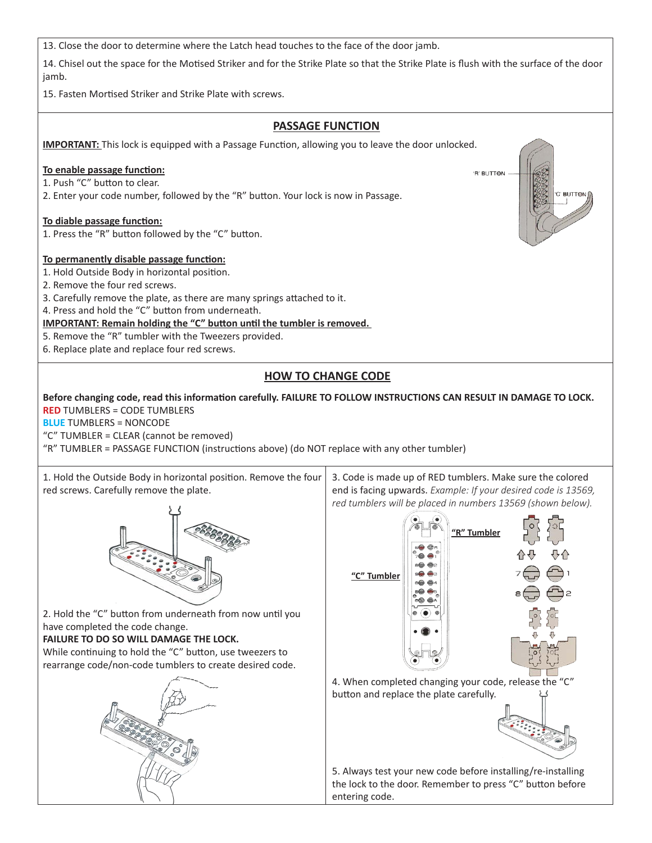13. Close the door to determine where the Latch head touches to the face of the door jamb.

14. Chisel out the space for the Motised Striker and for the Strike Plate so that the Strike Plate is flush with the surface of the door jamb.

15. Fasten Mortised Striker and Strike Plate with screws.

## **PASSAGE FUNCTION IMPORTANT:** This lock is equipped with a Passage Function, allowing you to leave the door unlocked. **To enable passage function: R' BUTTON** 1. Push "C" button to clear. 2. Enter your code number, followed by the "R" button. Your lock is now in Passage. C' BUTTON **To diable passage function:** 1. Press the "R" button followed by the "C" button. **To permanently disable passage function:** 1. Hold Outside Body in horizontal position. 2. Remove the four red screws. 3. Carefully remove the plate, as there are many springs attached to it. 4. Press and hold the "C" button from underneath. **IMPORTANT: Remain holding the "C" button until the tumbler is removed.** 5. Remove the "R" tumbler with the Tweezers provided. 6. Replace plate and replace four red screws. **HOW TO CHANGE CODE Before changing code, read this information carefully. FAILURE TO FOLLOW INSTRUCTIONS CAN RESULT IN DAMAGE TO LOCK. RED** TUMBLERS = CODE TUMBLERS **BLUE** TUMBLERS = NONCODE "C" TUMBLER = CLEAR (cannot be removed) "R" TUMBLER = PASSAGE FUNCTION (instructions above) (do NOT replace with any other tumbler) 1. Hold the Outside Body in horizontal position. Remove the four 3. Code is made up of RED tumblers. Make sure the colored red screws. Carefully remove the plate. end is facing upwards. *Example: If your desired code is 13569, red tumblers will be placed in numbers 13569 (shown below).* **"R" Tumbler "C" Tumbler**2. Hold the "C" button from underneath from now until you have completed the code change. **FAILURE TO DO SO WILL DAMAGE THE LOCK.** While continuing to hold the "C" button, use tweezers to rearrange code/non-code tumblers to create desired code. 4. When completed changing your code, release the "C" button and replace the plate carefully. 5. Always test your new code before installing/re-installing the lock to the door. Remember to press "C" button before entering code.